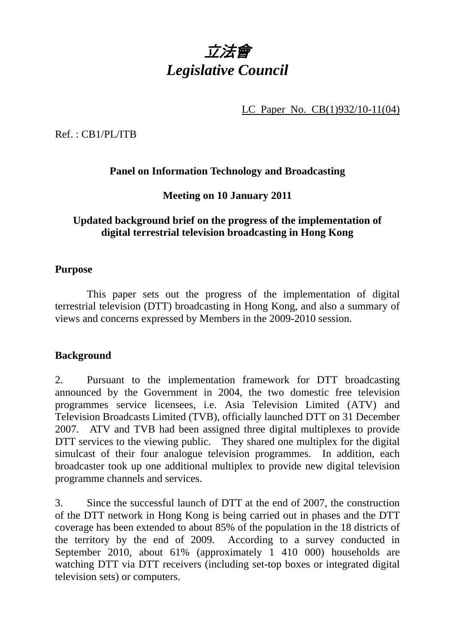

LC Paper No. CB(1)932/10-11(04)

Ref. : CB1/PL/ITB

# **Panel on Information Technology and Broadcasting**

## **Meeting on 10 January 2011**

### **Updated background brief on the progress of the implementation of digital terrestrial television broadcasting in Hong Kong**

#### **Purpose**

 This paper sets out the progress of the implementation of digital terrestrial television (DTT) broadcasting in Hong Kong, and also a summary of views and concerns expressed by Members in the 2009-2010 session.

#### **Background**

2. Pursuant to the implementation framework for DTT broadcasting announced by the Government in 2004, the two domestic free television programmes service licensees, i.e. Asia Television Limited (ATV) and Television Broadcasts Limited (TVB), officially launched DTT on 31 December 2007. ATV and TVB had been assigned three digital multiplexes to provide DTT services to the viewing public. They shared one multiplex for the digital simulcast of their four analogue television programmes. In addition, each broadcaster took up one additional multiplex to provide new digital television programme channels and services.

3. Since the successful launch of DTT at the end of 2007, the construction of the DTT network in Hong Kong is being carried out in phases and the DTT coverage has been extended to about 85% of the population in the 18 districts of the territory by the end of 2009. According to a survey conducted in September 2010, about 61% (approximately 1 410 000) households are watching DTT via DTT receivers (including set-top boxes or integrated digital television sets) or computers.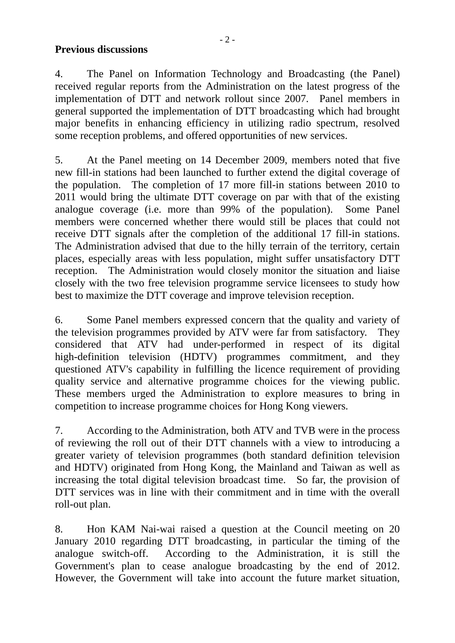#### **Previous discussions**

4. The Panel on Information Technology and Broadcasting (the Panel) received regular reports from the Administration on the latest progress of the implementation of DTT and network rollout since 2007. Panel members in general supported the implementation of DTT broadcasting which had brought major benefits in enhancing efficiency in utilizing radio spectrum, resolved some reception problems, and offered opportunities of new services.

5. At the Panel meeting on 14 December 2009, members noted that five new fill-in stations had been launched to further extend the digital coverage of the population. The completion of 17 more fill-in stations between 2010 to 2011 would bring the ultimate DTT coverage on par with that of the existing analogue coverage (i.e. more than 99% of the population). Some Panel members were concerned whether there would still be places that could not receive DTT signals after the completion of the additional 17 fill-in stations. The Administration advised that due to the hilly terrain of the territory, certain places, especially areas with less population, might suffer unsatisfactory DTT reception. The Administration would closely monitor the situation and liaise closely with the two free television programme service licensees to study how best to maximize the DTT coverage and improve television reception.

6. Some Panel members expressed concern that the quality and variety of the television programmes provided by ATV were far from satisfactory. They considered that ATV had under-performed in respect of its digital high-definition television (HDTV) programmes commitment, and they questioned ATV's capability in fulfilling the licence requirement of providing quality service and alternative programme choices for the viewing public. These members urged the Administration to explore measures to bring in competition to increase programme choices for Hong Kong viewers.

7. According to the Administration, both ATV and TVB were in the process of reviewing the roll out of their DTT channels with a view to introducing a greater variety of television programmes (both standard definition television and HDTV) originated from Hong Kong, the Mainland and Taiwan as well as increasing the total digital television broadcast time. So far, the provision of DTT services was in line with their commitment and in time with the overall roll-out plan.

8. Hon KAM Nai-wai raised a question at the Council meeting on 20 January 2010 regarding DTT broadcasting, in particular the timing of the analogue switch-off. According to the Administration, it is still the Government's plan to cease analogue broadcasting by the end of 2012. However, the Government will take into account the future market situation,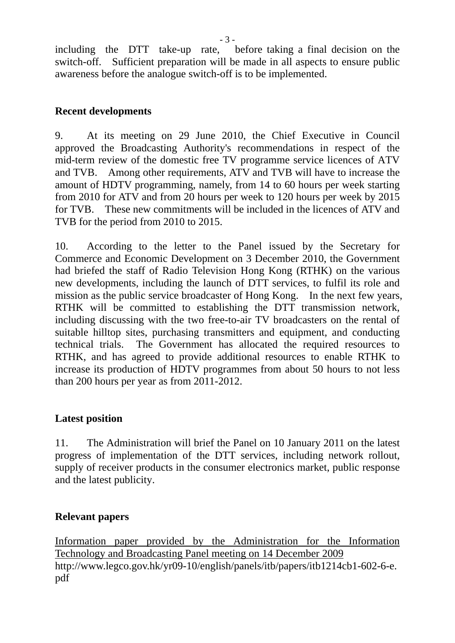including the DTT take-up rate, before taking a final decision on the switch-off. Sufficient preparation will be made in all aspects to ensure public awareness before the analogue switch-off is to be implemented.

## **Recent developments**

9. At its meeting on 29 June 2010, the Chief Executive in Council approved the Broadcasting Authority's recommendations in respect of the mid-term review of the domestic free TV programme service licences of ATV and TVB. Among other requirements, ATV and TVB will have to increase the amount of HDTV programming, namely, from 14 to 60 hours per week starting from 2010 for ATV and from 20 hours per week to 120 hours per week by 2015 for TVB. These new commitments will be included in the licences of ATV and TVB for the period from 2010 to 2015.

10. According to the letter to the Panel issued by the Secretary for Commerce and Economic Development on 3 December 2010, the Government had briefed the staff of Radio Television Hong Kong (RTHK) on the various new developments, including the launch of DTT services, to fulfil its role and mission as the public service broadcaster of Hong Kong. In the next few years, RTHK will be committed to establishing the DTT transmission network, including discussing with the two free-to-air TV broadcasters on the rental of suitable hilltop sites, purchasing transmitters and equipment, and conducting technical trials. The Government has allocated the required resources to RTHK, and has agreed to provide additional resources to enable RTHK to increase its production of HDTV programmes from about 50 hours to not less than 200 hours per year as from 2011-2012.

## **Latest position**

11. The Administration will brief the Panel on 10 January 2011 on the latest progress of implementation of the DTT services, including network rollout, supply of receiver products in the consumer electronics market, public response and the latest publicity.

## **Relevant papers**

Information paper provided by the Administration for the Information Technology and Broadcasting Panel meeting on 14 December 2009 http://www.legco.gov.hk/yr09-10/english/panels/itb/papers/itb1214cb1-602-6-e. pdf